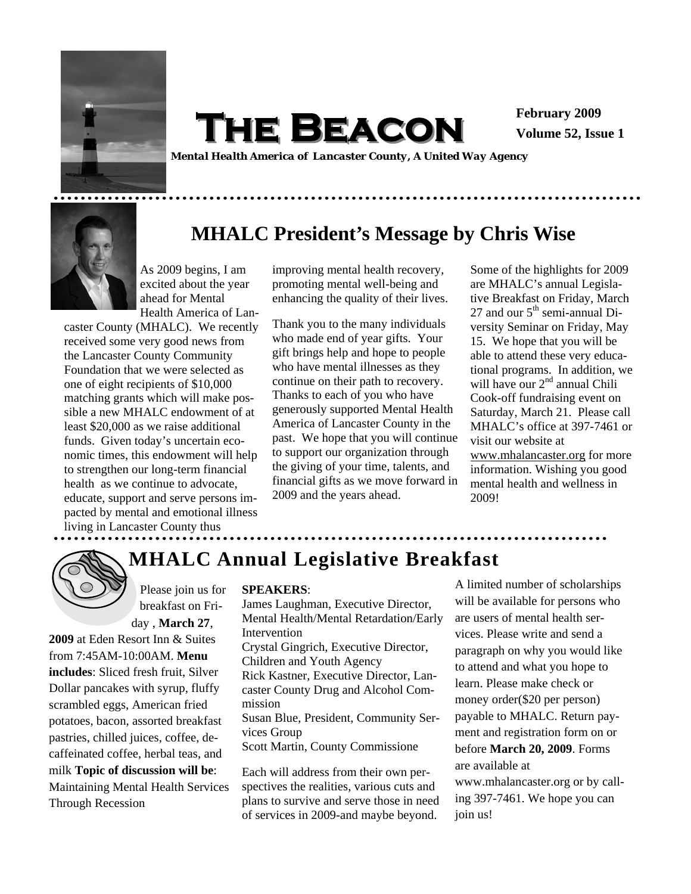

 $THE$  **BEACON February 2009** 

**Volume 52, Issue 1** 

*Mental Health America of Lancaster County, A United Way Agency* 

## **MHALC President's Message by Chris Wise**

As 2009 begins, I am excited about the year ahead for Mental Health America of Lan-

caster County (MHALC). We recently received some very good news from the Lancaster County Community Foundation that we were selected as one of eight recipients of \$10,000 matching grants which will make possible a new MHALC endowment of at least \$20,000 as we raise additional funds. Given today's uncertain economic times, this endowment will help to strengthen our long-term financial health as we continue to advocate, educate, support and serve persons impacted by mental and emotional illness

improving mental health recovery, promoting mental well-being and enhancing the quality of their lives.

Thank you to the many individuals who made end of year gifts. Your gift brings help and hope to people who have mental illnesses as they continue on their path to recovery. Thanks to each of you who have generously supported Mental Health America of Lancaster County in the past. We hope that you will continue to support our organization through the giving of your time, talents, and financial gifts as we move forward in 2009 and the years ahead.

Some of the highlights for 2009 are MHALC's annual Legislative Breakfast on Friday, March 27 and our  $5<sup>th</sup>$  semi-annual Diversity Seminar on Friday, May 15. We hope that you will be able to attend these very educational programs. In addition, we will have our 2<sup>nd</sup> annual Chili Cook-off fundraising event on Saturday, March 21. Please call MHALC's office at 397-7461 or visit our website at www.mhalancaster.org for more information. Wishing you good mental health and wellness in 2009!

living in Lancaster County thus

**2009** at Eden Resort Inn & Suites from 7:45AM-10:00AM. **Menu includes**: Sliced fresh fruit, Silver Dollar pancakes with syrup, fluffy scrambled eggs, American fried potatoes, bacon, assorted breakfast pastries, chilled juices, coffee, decaffeinated coffee, herbal teas, and milk **Topic of discussion will be**: Maintaining Mental Health Services

breakfast on Friday , **March 27**,



Through Recession

# **MHALC Annual Legislative Breakfast**

#### Please join us for **SPEAKERS**:

James Laughman, Executive Director, Mental Health/Mental Retardation/Early Intervention Crystal Gingrich, Executive Director, Children and Youth Agency Rick Kastner, Executive Director, Lancaster County Drug and Alcohol Commission Susan Blue, President, Community Services Group Scott Martin, County Commissione

Each will address from their own perspectives the realities, various cuts and plans to survive and serve those in need of services in 2009-and maybe beyond.

A limited number of scholarships will be available for persons who are users of mental health services. Please write and send a paragraph on why you would like to attend and what you hope to learn. Please make check or money order(\$20 per person) payable to MHALC. Return payment and registration form on or before **March 20, 2009**. Forms are available at

www.mhalancaster.org or by calling 397-7461. We hope you can join us!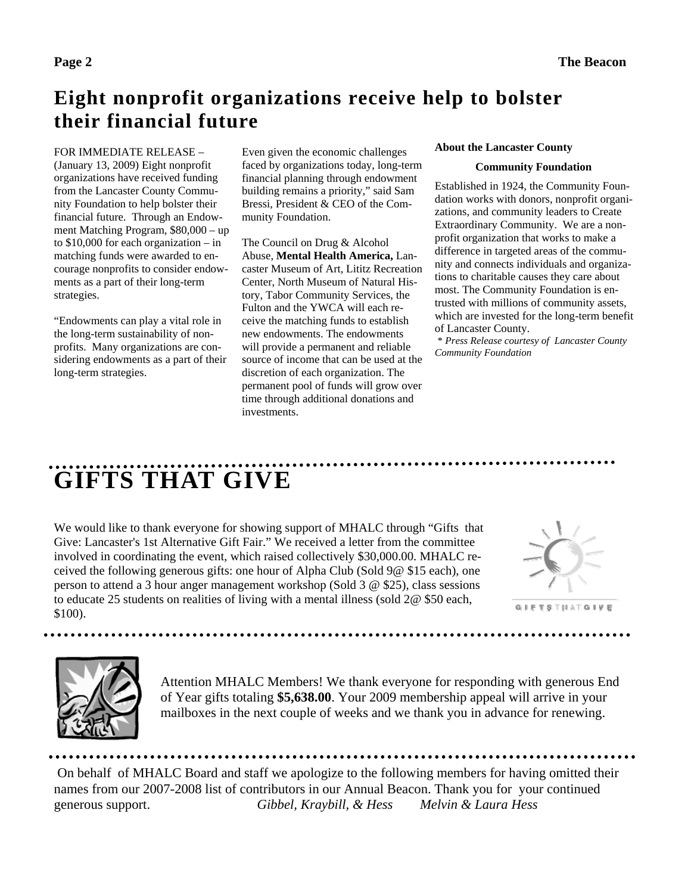# **Eight nonprofit organizations receive help to bolster their financial future**

#### FOR IMMEDIATE RELEASE – (January 13, 2009) Eight nonprofit organizations have received funding from the Lancaster County Community Foundation to help bolster their financial future. Through an Endowment Matching Program, \$80,000 – up to \$10,000 for each organization – in matching funds were awarded to en-

strategies. "Endowments can play a vital role in the long-term sustainability of nonprofits. Many organizations are considering endowments as a part of their long-term strategies.

courage nonprofits to consider endowments as a part of their long-term

Even given the economic challenges faced by organizations today, long-term financial planning through endowment building remains a priority," said Sam Bressi, President & CEO of the Community Foundation.

The Council on Drug & Alcohol Abuse, **Mental Health America,** Lancaster Museum of Art, Lititz Recreation Center, North Museum of Natural History, Tabor Community Services, the Fulton and the YWCA will each receive the matching funds to establish new endowments. The endowments will provide a permanent and reliable source of income that can be used at the discretion of each organization. The permanent pool of funds will grow over time through additional donations and investments.

#### **About the Lancaster County**

#### **Community Foundation**

Established in 1924, the Community Foundation works with donors, nonprofit organizations, and community leaders to Create Extraordinary Community. We are a nonprofit organization that works to make a difference in targeted areas of the community and connects individuals and organizations to charitable causes they care about most. The Community Foundation is entrusted with millions of community assets, which are invested for the long-term benefit of Lancaster County.

\* *Press Release courtesy of Lancaster County Community Foundation* 

# **GIFTS THAT GIVE**

We would like to thank everyone for showing support of MHALC through "Gifts that Give: Lancaster's 1st Alternative Gift Fair." We received a letter from the committee involved in coordinating the event, which raised collectively \$30,000.00. MHALC received the following generous gifts: one hour of Alpha Club (Sold 9@ \$15 each), one person to attend a 3 hour anger management workshop (Sold 3 @ \$25), class sessions to educate 25 students on realities of living with a mental illness (sold 2@ \$50 each, \$100).



**GIFTSTHATGIVE** 



Attention MHALC Members! We thank everyone for responding with generous End of Year gifts totaling **\$5,638.00**. Your 2009 membership appeal will arrive in your mailboxes in the next couple of weeks and we thank you in advance for renewing.

 On behalf of MHALC Board and staff we apologize to the following members for having omitted their names from our 2007-2008 list of contributors in our Annual Beacon. Thank you for your continued generous support. *Gibbel, Kraybill, & Hess Melvin & Laura Hess*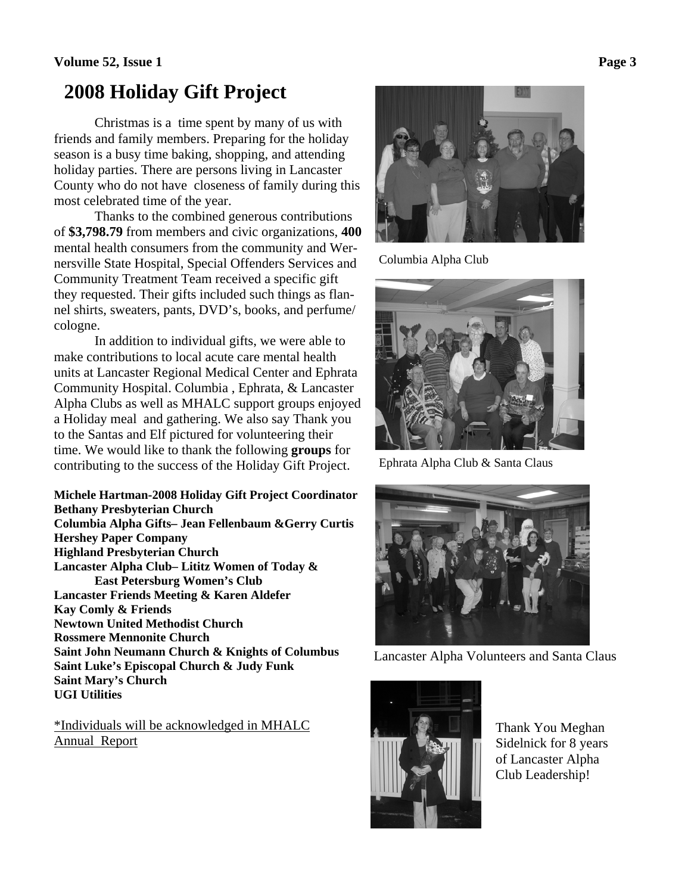### **Volume 52, Issue 1** Page 3

## **2008 Holiday Gift Project**

Christmas is a time spent by many of us with friends and family members. Preparing for the holiday season is a busy time baking, shopping, and attending holiday parties. There are persons living in Lancaster County who do not have closeness of family during this most celebrated time of the year.

 Thanks to the combined generous contributions of **\$3,798.79** from members and civic organizations, **400**  mental health consumers from the community and Wernersville State Hospital, Special Offenders Services and Community Treatment Team received a specific gift they requested. Their gifts included such things as flannel shirts, sweaters, pants, DVD's, books, and perfume/ cologne.

 In addition to individual gifts, we were able to make contributions to local acute care mental health units at Lancaster Regional Medical Center and Ephrata Community Hospital. Columbia , Ephrata, & Lancaster Alpha Clubs as well as MHALC support groups enjoyed a Holiday meal and gathering. We also say Thank you to the Santas and Elf pictured for volunteering their time. We would like to thank the following **groups** for contributing to the success of the Holiday Gift Project.

**Michele Hartman-2008 Holiday Gift Project Coordinator Bethany Presbyterian Church Columbia Alpha Gifts– Jean Fellenbaum &Gerry Curtis Hershey Paper Company Highland Presbyterian Church Lancaster Alpha Club– Lititz Women of Today & East Petersburg Women's Club Lancaster Friends Meeting & Karen Aldefer Kay Comly & Friends Newtown United Methodist Church Rossmere Mennonite Church Saint John Neumann Church & Knights of Columbus Saint Luke's Episcopal Church & Judy Funk Saint Mary's Church UGI Utilities** 

\*Individuals will be acknowledged in MHALC Annual Report



Columbia Alpha Club



Ephrata Alpha Club & Santa Claus



Lancaster Alpha Volunteers and Santa Claus



Thank You Meghan Sidelnick for 8 years of Lancaster Alpha Club Leadership!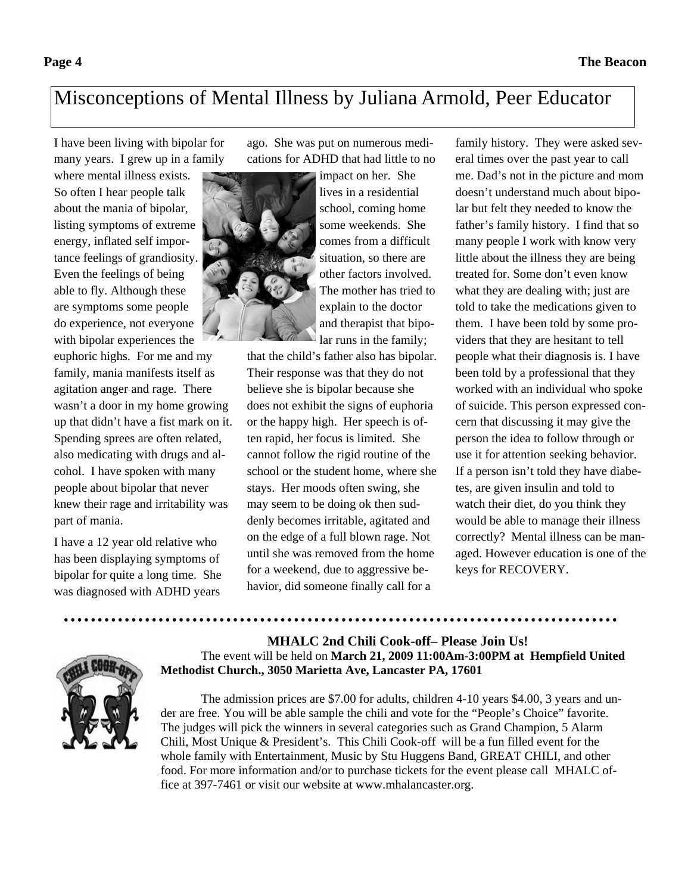# Misconceptions of Mental Illness by Juliana Armold, Peer Educator

I have been living with bipolar for many years. I grew up in a family

where mental illness exists. So often I hear people talk about the mania of bipolar, listing symptoms of extreme energy, inflated self importance feelings of grandiosity. Even the feelings of being able to fly. Although these are symptoms some people do experience, not everyone with bipolar experiences the

euphoric highs. For me and my family, mania manifests itself as agitation anger and rage. There wasn't a door in my home growing up that didn't have a fist mark on it. Spending sprees are often related, also medicating with drugs and alcohol. I have spoken with many people about bipolar that never knew their rage and irritability was part of mania.

I have a 12 year old relative who has been displaying symptoms of bipolar for quite a long time. She was diagnosed with ADHD years

ago. She was put on numerous medications for ADHD that had little to no



impact on her. She lives in a residential school, coming home some weekends. She comes from a difficult situation, so there are other factors involved. The mother has tried to explain to the doctor and therapist that bipolar runs in the family;

that the child's father also has bipolar. Their response was that they do not believe she is bipolar because she does not exhibit the signs of euphoria or the happy high. Her speech is often rapid, her focus is limited. She cannot follow the rigid routine of the school or the student home, where she stays. Her moods often swing, she may seem to be doing ok then suddenly becomes irritable, agitated and on the edge of a full blown rage. Not until she was removed from the home for a weekend, due to aggressive behavior, did someone finally call for a

family history. They were asked several times over the past year to call me. Dad's not in the picture and mom doesn't understand much about bipolar but felt they needed to know the father's family history. I find that so many people I work with know very little about the illness they are being treated for. Some don't even know what they are dealing with; just are told to take the medications given to them. I have been told by some providers that they are hesitant to tell people what their diagnosis is. I have been told by a professional that they worked with an individual who spoke of suicide. This person expressed concern that discussing it may give the person the idea to follow through or use it for attention seeking behavior. If a person isn't told they have diabetes, are given insulin and told to watch their diet, do you think they would be able to manage their illness correctly? Mental illness can be managed. However education is one of the keys for RECOVERY.

 **MHALC 2nd Chili Cook-off– Please Join Us!** 



 The event will be held on **March 21, 2009 11:00Am-3:00PM at Hempfield United Methodist Church., 3050 Marietta Ave, Lancaster PA, 17601** 

 The admission prices are \$7.00 for adults, children 4-10 years \$4.00, 3 years and under are free. You will be able sample the chili and vote for the "People's Choice" favorite. The judges will pick the winners in several categories such as Grand Champion, 5 Alarm Chili, Most Unique & President's. This Chili Cook-off will be a fun filled event for the whole family with Entertainment, Music by Stu Huggens Band, GREAT CHILI, and other food. For more information and/or to purchase tickets for the event please call MHALC office at 397-7461 or visit our website at www.mhalancaster.org.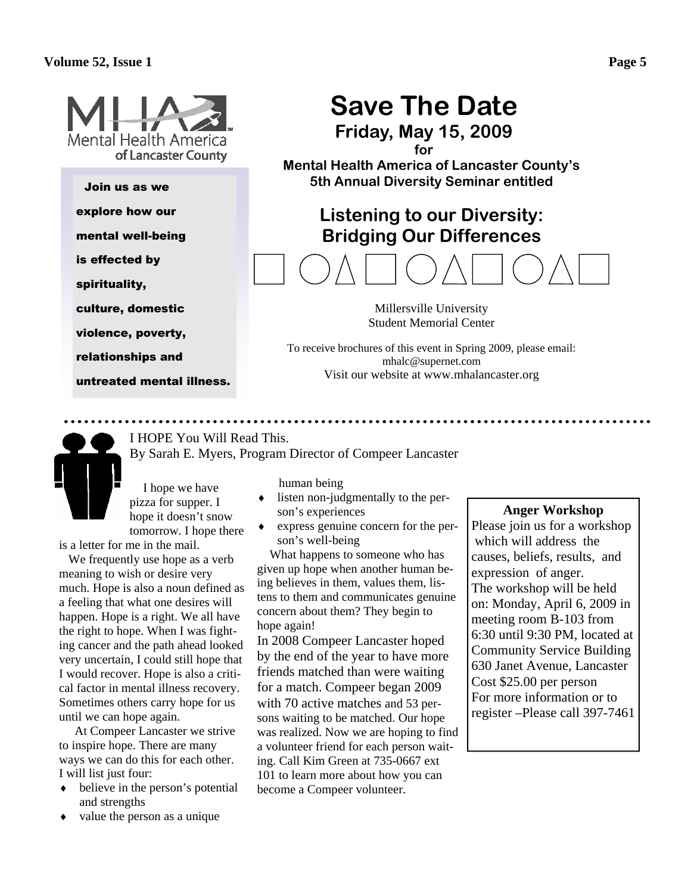

Join us as we

explore how our

mental well-being

is effected by

spirituality,

culture, domestic

violence, poverty,

relationships and

untreated mental illness.

# **Save The Date**

**Friday, May 15, 2009** 

**for** 

**Mental Health America of Lancaster County's 5th Annual Diversity Seminar entitled** 

## **Listening to our Diversity: Bridging Our Differences**

Millersville University Student Memorial Center

To receive brochures of this event in Spring 2009, please email: mhalc@supernet.com Visit our website at www.mhalancaster.org

I HOPE You Will Read This. By Sarah E. Myers, Program Director of Compeer Lancaster

 I hope we have pizza for supper. I hope it doesn't snow tomorrow. I hope there

is a letter for me in the mail.

 We frequently use hope as a verb meaning to wish or desire very much. Hope is also a noun defined as a feeling that what one desires will happen. Hope is a right. We all have the right to hope. When I was fighting cancer and the path ahead looked very uncertain, I could still hope that I would recover. Hope is also a critical factor in mental illness recovery. Sometimes others carry hope for us until we can hope again.

 At Compeer Lancaster we strive to inspire hope. There are many ways we can do this for each other. I will list just four:

- ♦ believe in the person's potential and strengths
- ♦ value the person as a unique

human being

- ♦ listen non-judgmentally to the person's experiences
- express genuine concern for the person's well-being

 What happens to someone who has given up hope when another human being believes in them, values them, listens to them and communicates genuine concern about them? They begin to hope again!

In 2008 Compeer Lancaster hoped by the end of the year to have more friends matched than were waiting for a match. Compeer began 2009 with 70 active matches and 53 persons waiting to be matched. Our hope was realized. Now we are hoping to find a volunteer friend for each person waiting. Call Kim Green at 735-0667 ext 101 to learn more about how you can become a Compeer volunteer.

### **Anger Workshop**

Please join us for a workshop which will address the causes, beliefs, results, and expression of anger. The workshop will be held on: Monday, April 6, 2009 in meeting room B-103 from 6:30 until 9:30 PM, located at Community Service Building 630 Janet Avenue, Lancaster Cost \$25.00 per person For more information or to register –Please call 397-7461